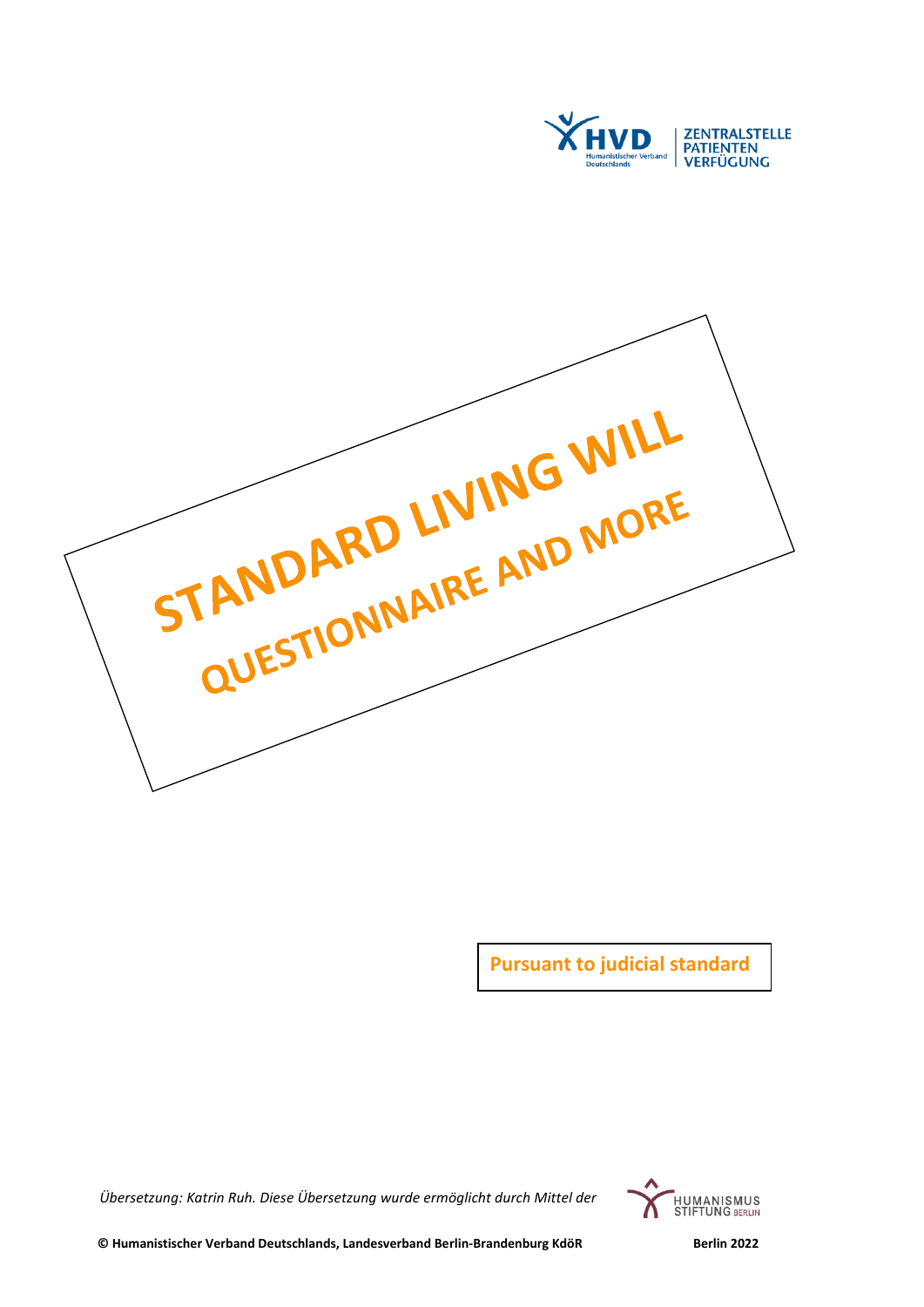

STANDARD LIVING WILL<br>QUESTIONNAIRE AND MORE

**Pursuant to judicial standard** 

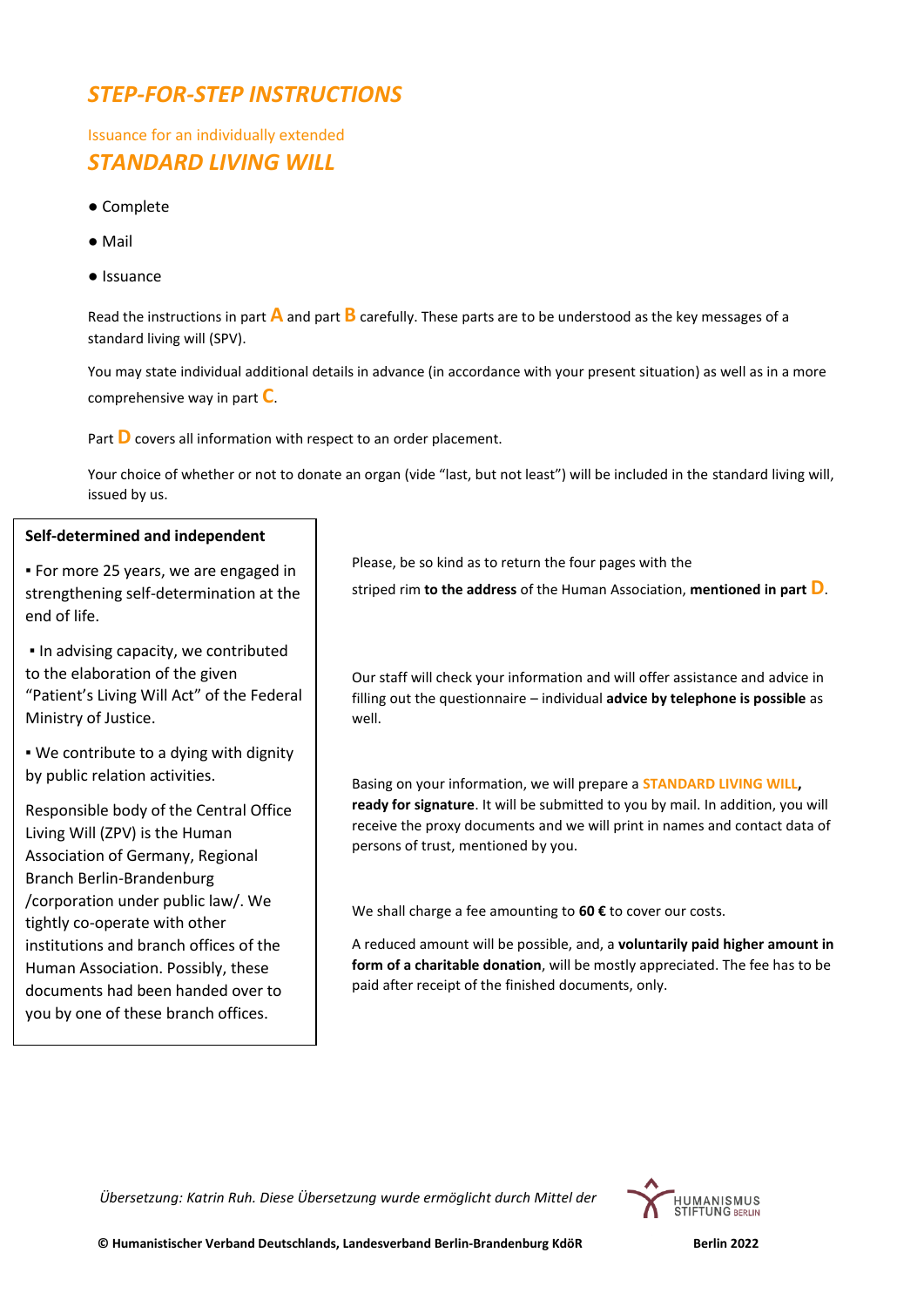## *STEP-FOR-STEP INSTRUCTIONS*

Issuance for an individually extended *STANDARD LIVING WILL*

- Complete
- Mail
- Issuance

Read the instructions in part **A** and part **B** carefully. These parts are to be understood as the key messages of a standard living will (SPV).

You may state individual additional details in advance (in accordance with your present situation) as well as in a more comprehensive way in part **C**.

Part **D** covers all information with respect to an order placement.

Your choice of whether or not to donate an organ (vide "last, but not least") will be included in the standard living will, issued by us.

#### **Self-determined and independent**

▪ For more 25 years, we are engaged in strengthening self-determination at the end of life.

▪ In advising capacity, we contributed to the elaboration of the given "Patient's Living Will Act" of the Federal Ministry of Justice.

. We contribute to a dying with dignity by public relation activities.

Responsible body of the Central Office Living Will (ZPV) is the Human Association of Germany, Regional Branch Berlin-Brandenburg /corporation under public law/. We tightly co-operate with other institutions and branch offices of the Human Association. Possibly, these documents had been handed over to you by one of these branch offices.

Please, be so kind as to return the four pages with the striped rim **to the address** of the Human Association, **mentioned in part D**.

Our staff will check your information and will offer assistance and advice in filling out the questionnaire – individual **advice by telephone is possible** as well.

Basing on your information, we will prepare a **STANDARD LIVING WILL, ready for signature**. It will be submitted to you by mail. In addition, you will receive the proxy documents and we will print in names and contact data of persons of trust, mentioned by you.

We shall charge a fee amounting to **60 €** to cover our costs.

A reduced amount will be possible, and, a **voluntarily paid higher amount in form of a charitable donation**, will be mostly appreciated. The fee has to be paid after receipt of the finished documents, only.

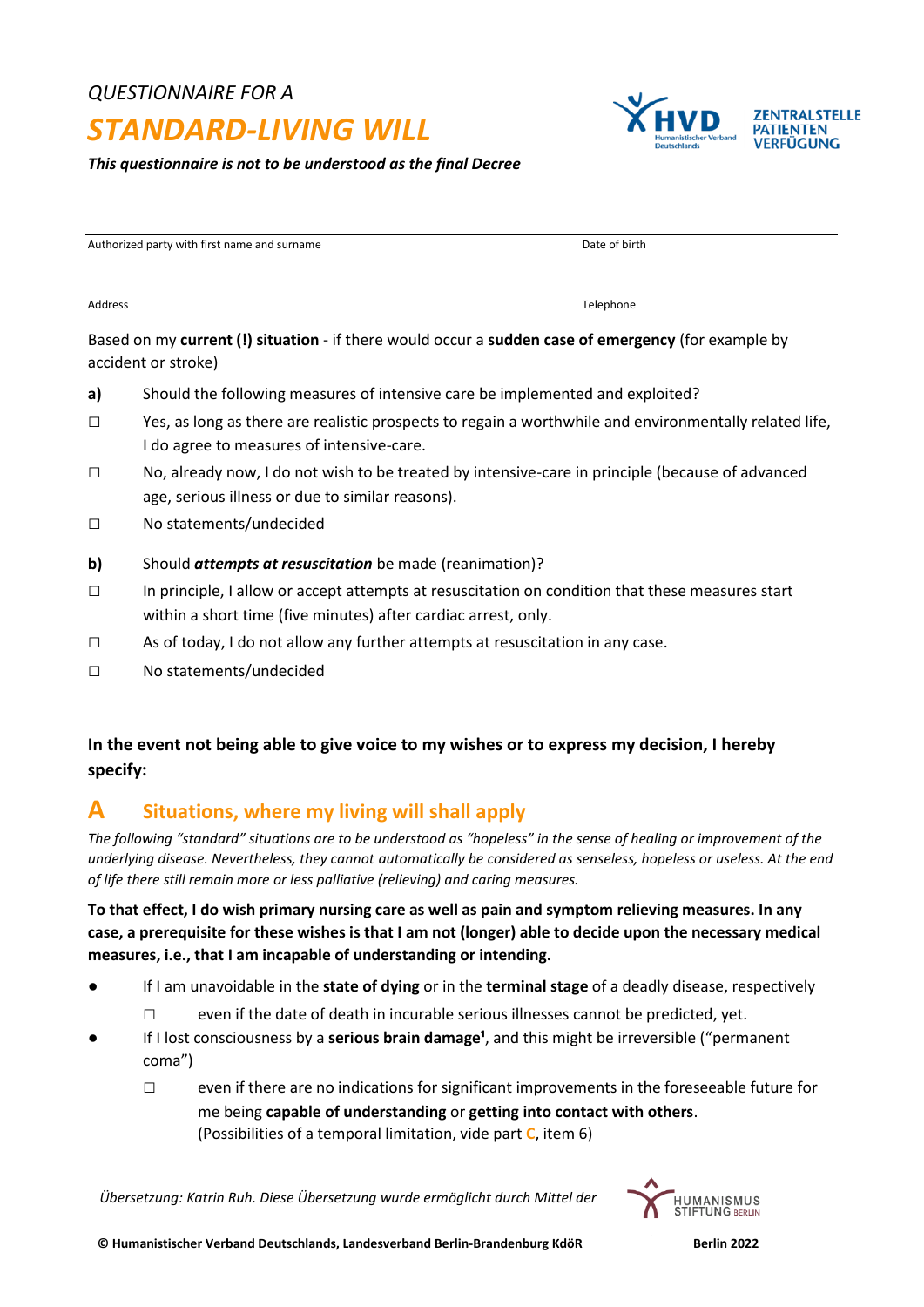## *QUESTIONNAIRE FOR A*

# *STANDARD-LIVING WILL*

*This questionnaire is not to be understood as the final Decree*

Authorized party with first name and surname **Date of birth** Date of birth

Based on my **current (!) situation** - if there would occur a **sudden case of emergency** (for example by accident or stroke)

**a)** Should the following measures of intensive care be implemented and exploited?

Address and the control of the control of the control of the control of the control of the control of the control of the control of the control of the control of the control of the control of the control of the control of

- □ Yes, as long as there are realistic prospects to regain a worthwhile and environmentally related life, I do agree to measures of intensive-care.
- □ No, already now, I do not wish to be treated by intensive-care in principle (because of advanced age, serious illness or due to similar reasons).
- □ No statements/undecided
- **b)** Should *attempts at resuscitation* be made (reanimation)?
- $\square$  In principle, I allow or accept attempts at resuscitation on condition that these measures start within a short time (five minutes) after cardiac arrest, only.
- $\square$  As of today, I do not allow any further attempts at resuscitation in any case.
- □ No statements/undecided

## **In the event not being able to give voice to my wishes or to express my decision, I hereby specify:**

## **A Situations, where my living will shall apply**

*The following "standard" situations are to be understood as "hopeless" in the sense of healing or improvement of the underlying disease. Nevertheless, they cannot automatically be considered as senseless, hopeless or useless. At the end of life there still remain more or less palliative (relieving) and caring measures.*

**To that effect, I do wish primary nursing care as well as pain and symptom relieving measures. In any case, a prerequisite for these wishes is that I am not (longer) able to decide upon the necessary medical measures, i.e., that I am incapable of understanding or intending.**

- *●* If I am unavoidable in the **state of dying** or in the **terminal stage** of a deadly disease, respectively
	- $\square$  even if the date of death in incurable serious illnesses cannot be predicted, yet.
- If I lost consciousness by a **serious brain damage<sup>1</sup>**, and this might be irreversible ("permanent coma")
	- $\square$  even if there are no indications for significant improvements in the foreseeable future for me being **capable of understanding** or **getting into contact with others**. (Possibilities of a temporal limitation, vide part **C**, item 6)



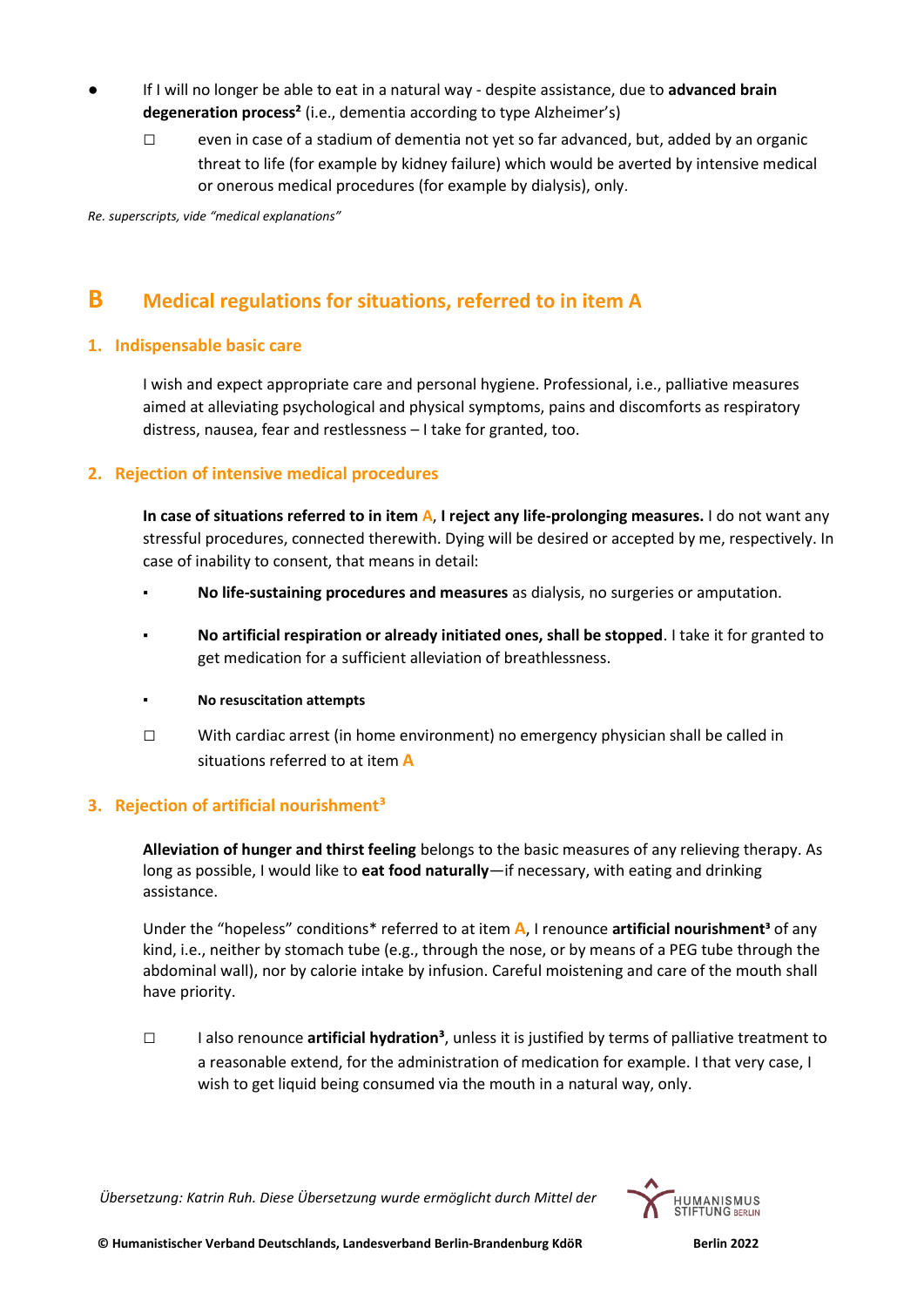- **●** If I will no longer be able to eat in a natural way despite assistance, due to **advanced brain degeneration process²** (i.e., dementia according to type Alzheimer's)
	- $\square$  even in case of a stadium of dementia not yet so far advanced, but, added by an organic threat to life (for example by kidney failure) which would be averted by intensive medical or onerous medical procedures (for example by dialysis), only.

*Re. superscripts, vide "medical explanations"*

## **B Medical regulations for situations, referred to in item A**

## **1. Indispensable basic care**

I wish and expect appropriate care and personal hygiene. Professional, i.e., palliative measures aimed at alleviating psychological and physical symptoms, pains and discomforts as respiratory distress, nausea, fear and restlessness – I take for granted, too.

## **2. Rejection of intensive medical procedures**

**In case of situations referred to in item A**, **I reject any life-prolonging measures.** I do not want any stressful procedures, connected therewith. Dying will be desired or accepted by me, respectively. In case of inability to consent, that means in detail:

- **▪ No life-sustaining procedures and measures** as dialysis, no surgeries or amputation.
- **▪ No artificial respiration or already initiated ones, shall be stopped**. I take it for granted to get medication for a sufficient alleviation of breathlessness.
- **▪ No resuscitation attempts**
- $\square$  With cardiac arrest (in home environment) no emergency physician shall be called in situations referred to at item **A**

## **3. Rejection of artificial nourishment³**

**Alleviation of hunger and thirst feeling** belongs to the basic measures of any relieving therapy. As long as possible, I would like to **eat food naturally**—if necessary, with eating and drinking assistance.

Under the "hopeless" conditions\* referred to at item **A**, I renounce **artificial nourishment³** of any kind, i.e., neither by stomach tube (e.g., through the nose, or by means of a PEG tube through the abdominal wall), nor by calorie intake by infusion. Careful moistening and care of the mouth shall have priority.

□ I also renounce **artificial hydration³**, unless it is justified by terms of palliative treatment to a reasonable extend, for the administration of medication for example. I that very case, I wish to get liquid being consumed via the mouth in a natural way, only.

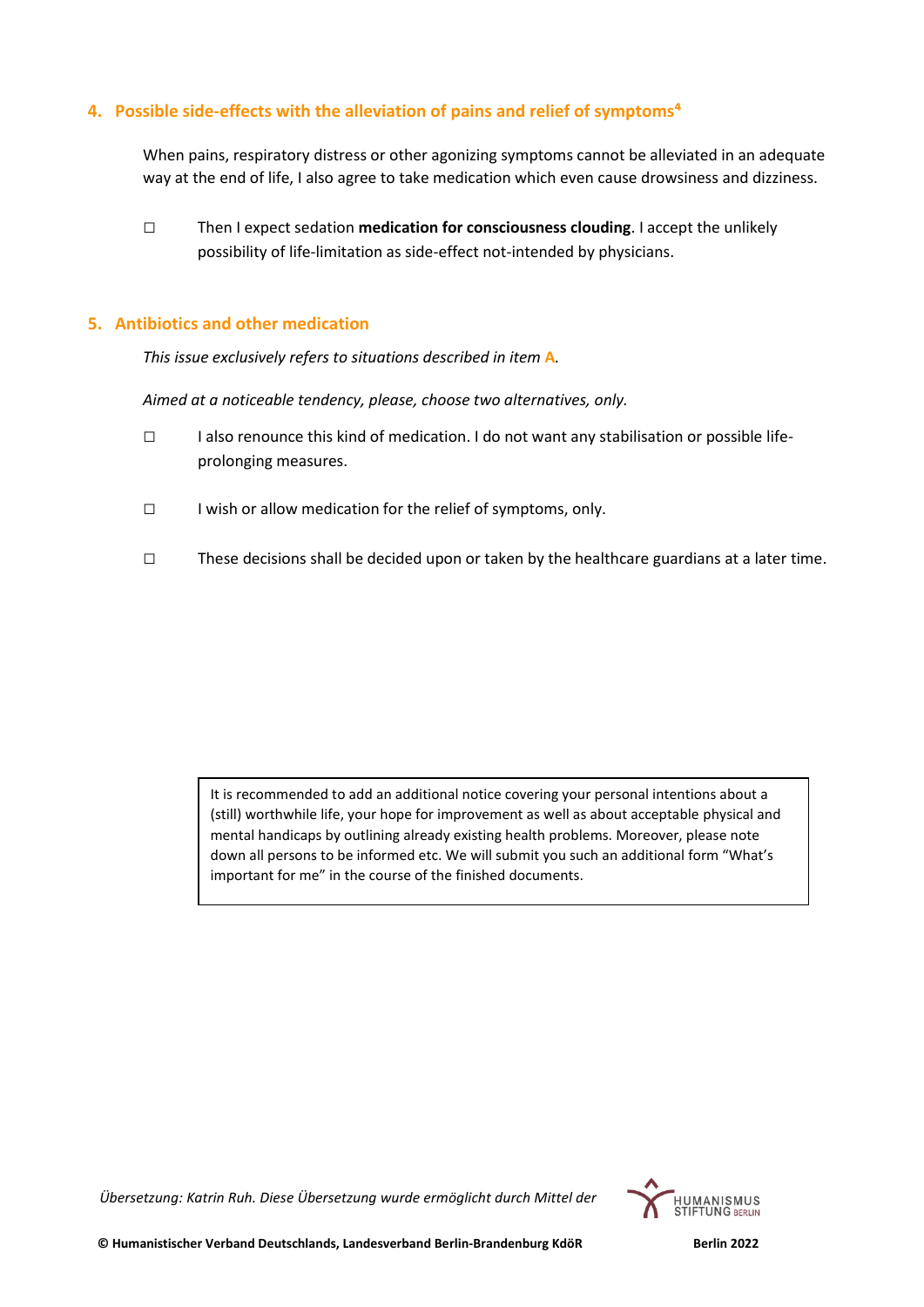## **4. Possible side-effects with the alleviation of pains and relief of symptoms<sup>4</sup>**

When pains, respiratory distress or other agonizing symptoms cannot be alleviated in an adequate way at the end of life, I also agree to take medication which even cause drowsiness and dizziness.

□ Then I expect sedation **medication for consciousness clouding**. I accept the unlikely possibility of life-limitation as side-effect not-intended by physicians.

## **5. Antibiotics and other medication**

*This issue exclusively refers to situations described in item* **A***.*

*Aimed at a noticeable tendency, please, choose two alternatives, only.*

- □ I also renounce this kind of medication. I do not want any stabilisation or possible lifeprolonging measures.
- □ I wish or allow medication for the relief of symptoms, only.
- □ These decisions shall be decided upon or taken by the healthcare guardians at a later time.

It is recommended to add an additional notice covering your personal intentions about a (still) worthwhile life, your hope for improvement as well as about acceptable physical and mental handicaps by outlining already existing health problems. Moreover, please note down all persons to be informed etc. We will submit you such an additional form "What's important for me" in the course of the finished documents.

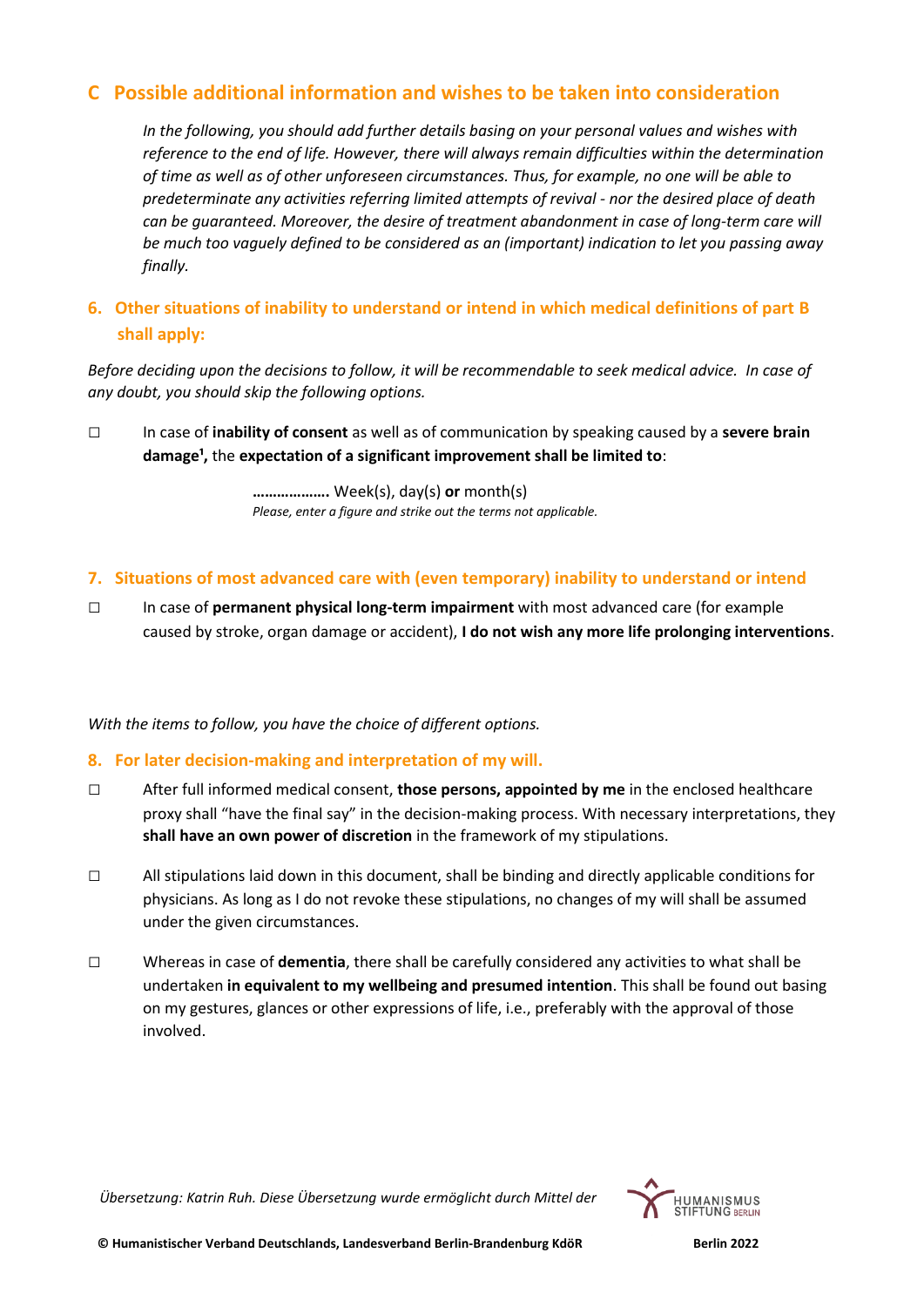## **C Possible additional information and wishes to be taken into consideration**

*In the following, you should add further details basing on your personal values and wishes with reference to the end of life. However, there will always remain difficulties within the determination of time as well as of other unforeseen circumstances. Thus, for example, no one will be able to predeterminate any activities referring limited attempts of revival - nor the desired place of death can be guaranteed. Moreover, the desire of treatment abandonment in case of long-term care will be much too vaguely defined to be considered as an (important) indication to let you passing away finally.* 

## **6. Other situations of inability to understand or intend in which medical definitions of part B shall apply:**

*Before deciding upon the decisions to follow, it will be recommendable to seek medical advice. In case of any doubt, you should skip the following options.*

**□** In case of **inability of consent** as well as of communication by speaking caused by a **severe brain**  damage<sup>1</sup>, the expectation of a significant improvement shall be limited to:

> **……………….** Week(s), day(s) **or** month(s) *Please, enter a figure and strike out the terms not applicable.*

- **7. Situations of most advanced care with (even temporary) inability to understand or intend**
- **□** In case of **permanent physical long-term impairment** with most advanced care (for example caused by stroke, organ damage or accident), **I do not wish any more life prolonging interventions**.

*With the items to follow, you have the choice of different options.*

## **8. For later decision-making and interpretation of my will.**

- **□** After full informed medical consent, **those persons, appointed by me** in the enclosed healthcare proxy shall "have the final say" in the decision-making process. With necessary interpretations, they **shall have an own power of discretion** in the framework of my stipulations.
- **□** All stipulations laid down in this document, shall be binding and directly applicable conditions for physicians. As long as I do not revoke these stipulations, no changes of my will shall be assumed under the given circumstances.
- **□** Whereas in case of **dementia**, there shall be carefully considered any activities to what shall be undertaken **in equivalent to my wellbeing and presumed intention**. This shall be found out basing on my gestures, glances or other expressions of life, i.e., preferably with the approval of those involved.

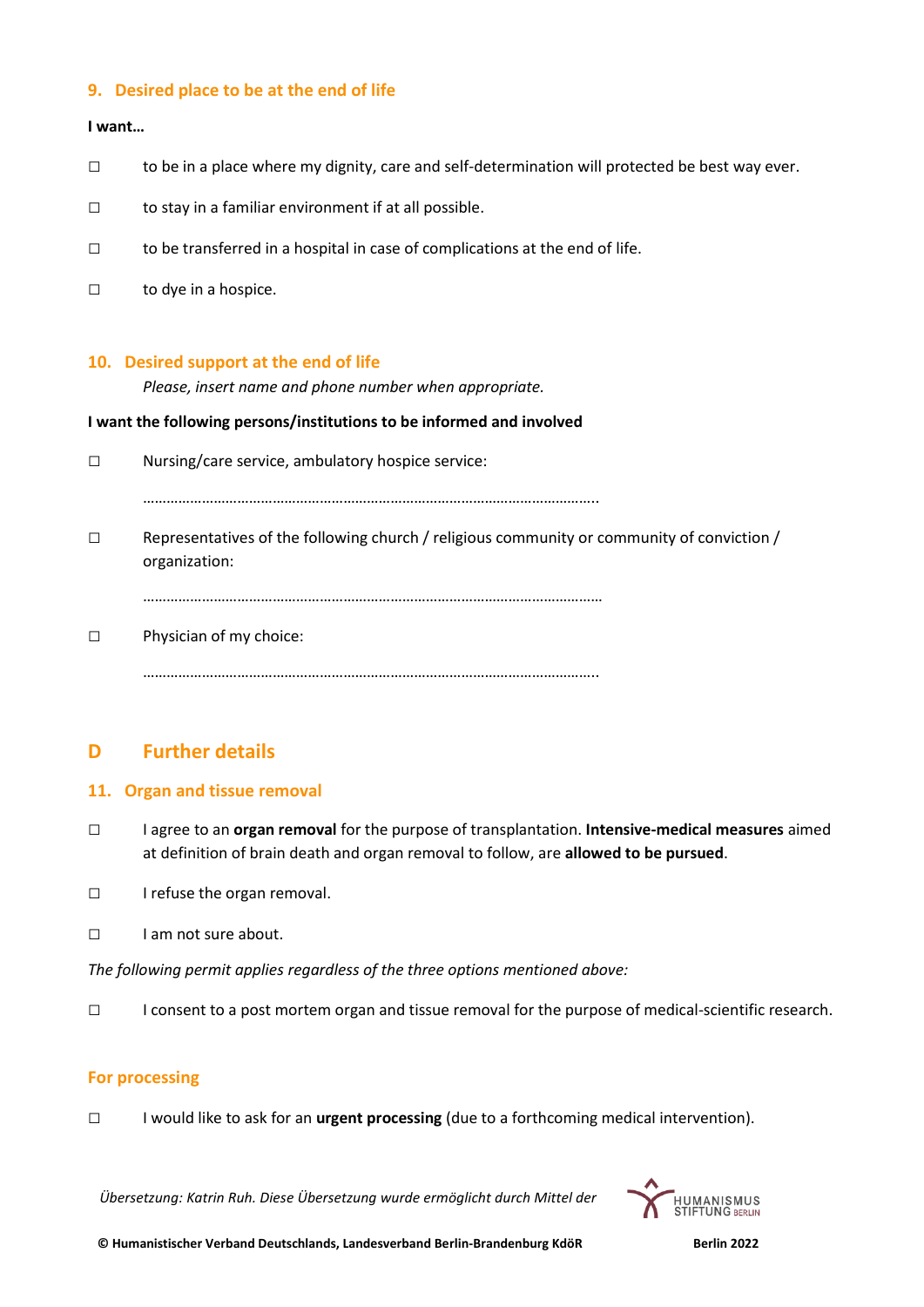## **9. Desired place to be at the end of life**

### **I want…**

- **□** to be in a place where my dignity, care and self-determination will protected be best way ever.
- **□** to stay in a familiar environment if at all possible.
- **□** to be transferred in a hospital in case of complications at the end of life.
- **□** to dye in a hospice.

#### **10. Desired support at the end of life**

*Please, insert name and phone number when appropriate.*

#### **I want the following persons/institutions to be informed and involved**

**□** Nursing/care service, ambulatory hospice service:

……………………………………………………………………………………………………..

□ Representatives of the following church / religious community or community of conviction / organization:

………………………………………………………………………………………………………

□ Physician of my choice:

……………………………………………………………………………………………………..

## **D Further details**

## **11. Organ and tissue removal**

- **□** I agree to an **organ removal** for the purpose of transplantation. **Intensive-medical measures** aimed at definition of brain death and organ removal to follow, are **allowed to be pursued**.
- **□** I refuse the organ removal.
- **□** I am not sure about.

*The following permit applies regardless of the three options mentioned above:*

**□** I consent to a post mortem organ and tissue removal for the purpose of medical-scientific research.

## **For processing**

**□** I would like to ask for an **urgent processing** (due to a forthcoming medical intervention).

*Übersetzung: Katrin Ruh. Diese Übersetzung wurde ermöglicht durch Mittel der*



 **© Humanistischer Verband Deutschlands, Landesverband Berlin-Brandenburg KdöR Berlin 2022**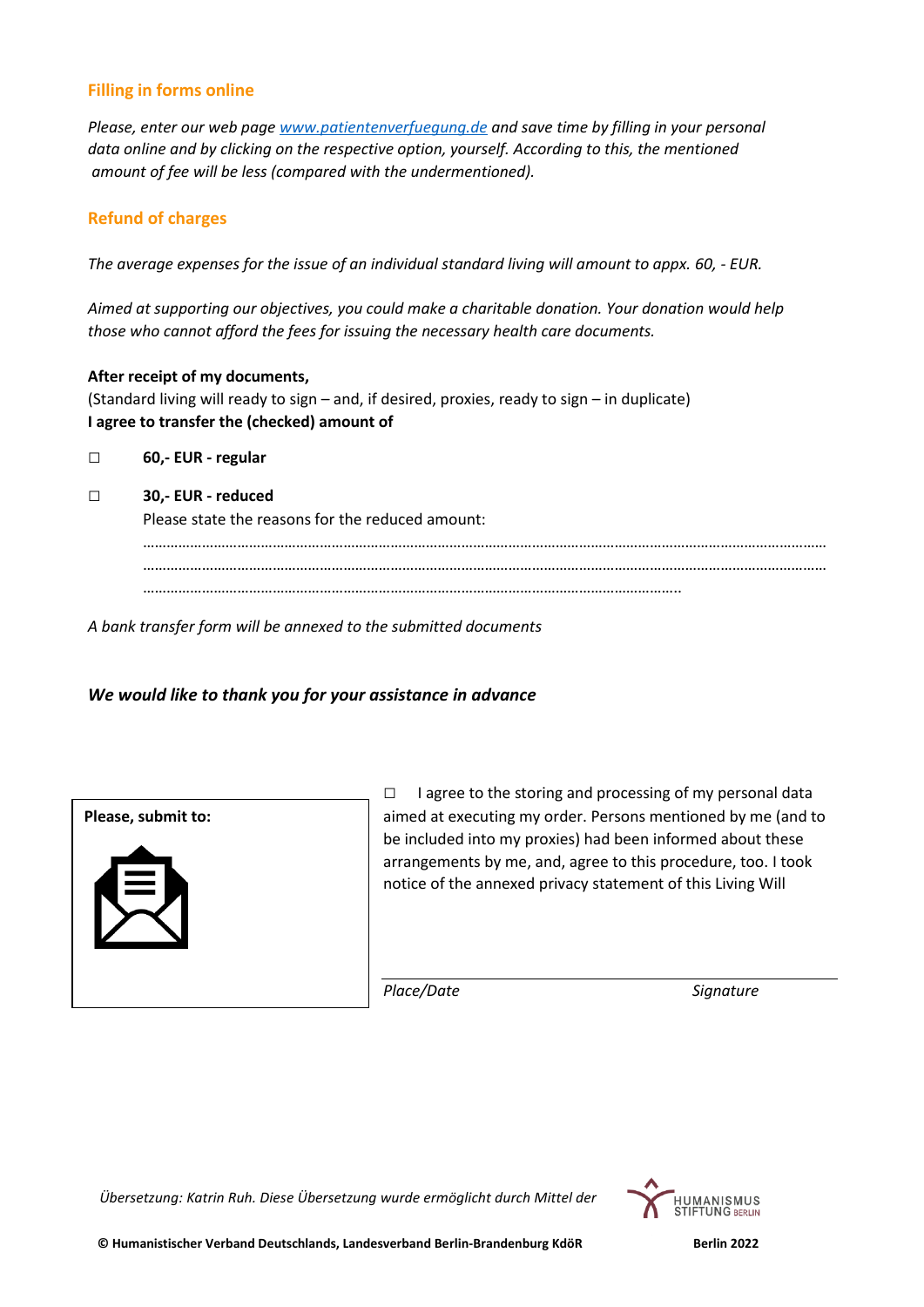## **Filling in forms online**

*Please, enter our web page [www.patientenverfuegung.de](http://www.patientenverfuegung.de/) and save time by filling in your personal data online and by clicking on the respective option, yourself. According to this, the mentioned amount of fee will be less (compared with the undermentioned).* 

## **Refund of charges**

*The average expenses for the issue of an individual standard living will amount to appx. 60, - EUR.*

*Aimed at supporting our objectives, you could make a charitable donation. Your donation would help those who cannot afford the fees for issuing the necessary health care documents.* 

**After receipt of my documents,**  (Standard living will ready to sign – and, if desired, proxies, ready to sign – in duplicate) **I agree to transfer the (checked) amount of**

**□ 60,- EUR - regular**

#### **□ 30,- EUR - reduced**

Please state the reasons for the reduced amount:

………………………………………………………………………………………………………………………………………………………… ………………………………………………………………………………………………………………………………………………………… ………………………………………………………………………………………………………………………..

*A bank transfer form will be annexed to the submitted documents*

## *We would like to thank you for your assistance in advance*



**□** I agree to the storing and processing of my personal data aimed at executing my order. Persons mentioned by me (and to be included into my proxies) had been informed about these arrangements by me, and, agree to this procedure, too. I took notice of the annexed privacy statement of this Living Will

*Place/Date Signature*

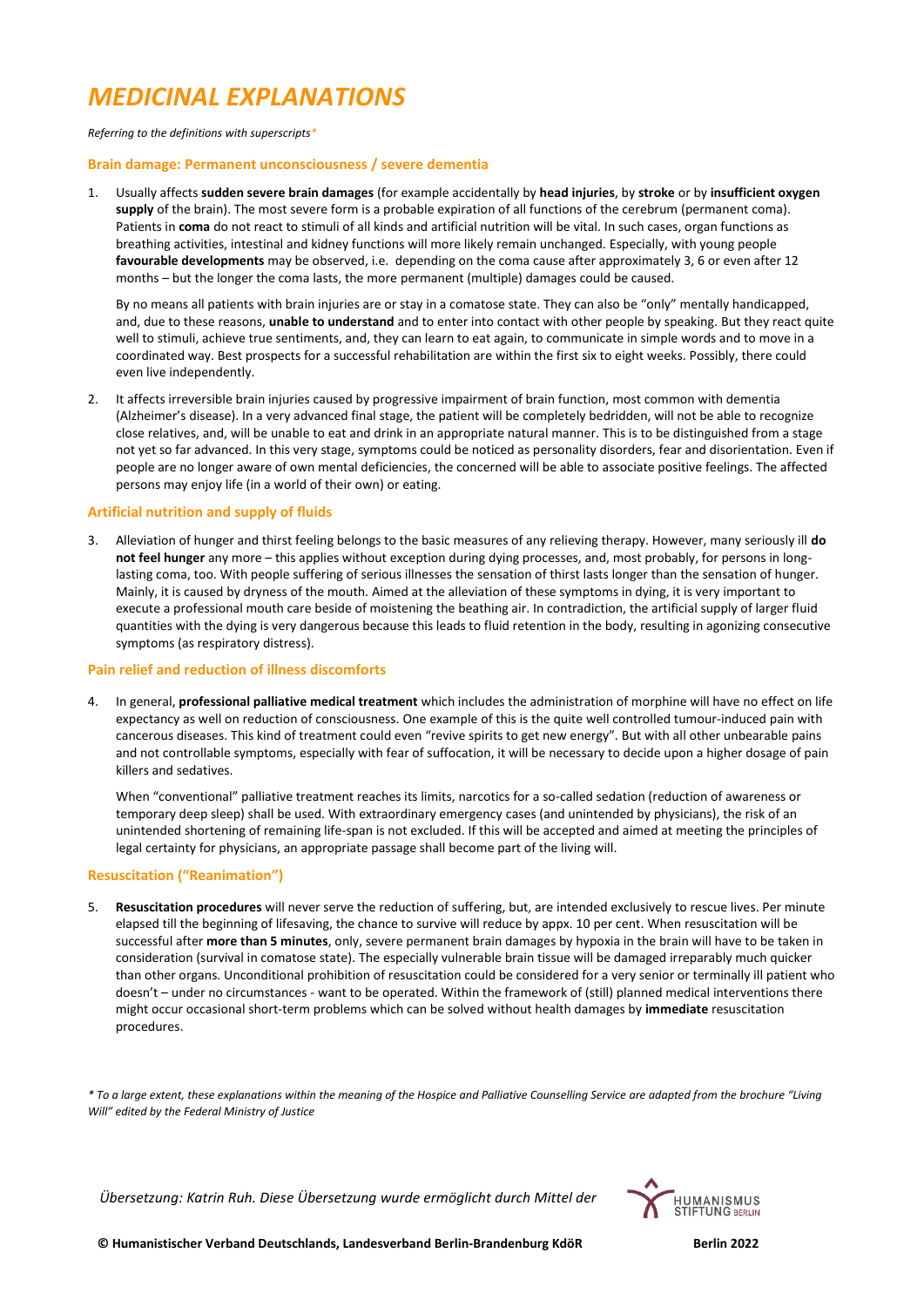# *MEDICINAL EXPLANATIONS*

#### *Referring to the definitions with superscripts\**

#### **Brain damage: Permanent unconsciousness / severe dementia**

1. Usually affects **sudden severe brain damages** (for example accidentally by **head injuries**, by **stroke** or by **insufficient oxygen**  supply of the brain). The most severe form is a probable expiration of all functions of the cerebrum (permanent coma). Patients in **coma** do not react to stimuli of all kinds and artificial nutrition will be vital. In such cases, organ functions as breathing activities, intestinal and kidney functions will more likely remain unchanged. Especially, with young people **favourable developments** may be observed, i.e. depending on the coma cause after approximately 3, 6 or even after 12 months – but the longer the coma lasts, the more permanent (multiple) damages could be caused.

By no means all patients with brain injuries are or stay in a comatose state. They can also be "only" mentally handicapped, and, due to these reasons, **unable to understand** and to enter into contact with other people by speaking. But they react quite well to stimuli, achieve true sentiments, and, they can learn to eat again, to communicate in simple words and to move in a coordinated way. Best prospects for a successful rehabilitation are within the first six to eight weeks. Possibly, there could even live independently.

2. It affects irreversible brain injuries caused by progressive impairment of brain function, most common with dementia (Alzheimer's disease). In a very advanced final stage, the patient will be completely bedridden, will not be able to recognize close relatives, and, will be unable to eat and drink in an appropriate natural manner. This is to be distinguished from a stage not yet so far advanced. In this very stage, symptoms could be noticed as personality disorders, fear and disorientation. Even if people are no longer aware of own mental deficiencies, the concerned will be able to associate positive feelings. The affected persons may enjoy life (in a world of their own) or eating.

#### **Artificial nutrition and supply of fluids**

3. Alleviation of hunger and thirst feeling belongs to the basic measures of any relieving therapy. However, many seriously ill **do not feel hunger** any more – this applies without exception during dying processes, and, most probably, for persons in longlasting coma, too. With people suffering of serious illnesses the sensation of thirst lasts longer than the sensation of hunger. Mainly, it is caused by dryness of the mouth. Aimed at the alleviation of these symptoms in dying, it is very important to execute a professional mouth care beside of moistening the beathing air. In contradiction, the artificial supply of larger fluid quantities with the dying is very dangerous because this leads to fluid retention in the body, resulting in agonizing consecutive symptoms (as respiratory distress).

#### **Pain relief and reduction of illness discomforts**

4. In general, **professional palliative medical treatment** which includes the administration of morphine will have no effect on life expectancy as well on reduction of consciousness. One example of this is the quite well controlled tumour-induced pain with cancerous diseases. This kind of treatment could even "revive spirits to get new energy". But with all other unbearable pains and not controllable symptoms, especially with fear of suffocation, it will be necessary to decide upon a higher dosage of pain killers and sedatives.

When "conventional" palliative treatment reaches its limits, narcotics for a so-called sedation (reduction of awareness or temporary deep sleep) shall be used. With extraordinary emergency cases (and unintended by physicians), the risk of an unintended shortening of remaining life-span is not excluded. If this will be accepted and aimed at meeting the principles of legal certainty for physicians, an appropriate passage shall become part of the living will.

#### **Resuscitation ("Reanimation")**

5. **Resuscitation procedures** will never serve the reduction of suffering, but, are intended exclusively to rescue lives. Per minute elapsed till the beginning of lifesaving, the chance to survive will reduce by appx. 10 per cent. When resuscitation will be successful after **more than 5 minutes**, only, severe permanent brain damages by hypoxia in the brain will have to be taken in consideration (survival in comatose state). The especially vulnerable brain tissue will be damaged irreparably much quicker than other organs. Unconditional prohibition of resuscitation could be considered for a very senior or terminally ill patient who doesn't – under no circumstances - want to be operated. Within the framework of (still) planned medical interventions there might occur occasional short-term problems which can be solved without health damages by **immediate** resuscitation procedures.

*\* To a large extent, these explanations within the meaning of the Hospice and Palliative Counselling Service are adapted from the brochure "Living Will" edited by the Federal Ministry of Justice*